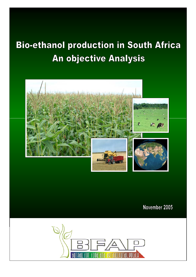# **Bio-ethanol production in South Africa An objective Analysis**



November 2005

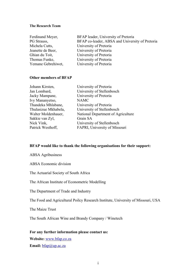#### **The Research Team**

| Ferdinand Meyer,<br>PG Strauss, | BFAP leader, University of Pretoria<br>BFAP co-leader, ABSA and University of Pretoria |
|---------------------------------|----------------------------------------------------------------------------------------|
| Michela Cutts,                  | University of Pretoria                                                                 |
| Jeanette de Beer,               | University of Pretoria                                                                 |
| Ghian du Toit,                  | University of Pretoria                                                                 |
| Thomas Funke,                   | University of Pretoria                                                                 |
| Yemane Gebrehiwet,              | University of Pretoria                                                                 |

#### **Other members of BFAP**

| Johann Kirsten,      | University of Pretoria             |
|----------------------|------------------------------------|
| Jan Lombard,         | University of Stellenbosch         |
| Jacky Mampane,       | University of Pretoria             |
| Ivy Mananyetso,      | <b>NAMC</b>                        |
| Thandeka Mhlabane,   | University of Pretoria             |
| Thulasizue Mkhabela, | University of Stellenbosch         |
| Walter Moldenhauer,  | National Department of Agriculture |
| Sakkie van Zyl,      | Grain SA                           |
| Nick Vink,           | University of Stellenbosch         |
| Patrick Westhoff,    | FAPRI, University of Missouri      |
|                      |                                    |

### **BFAP would like to thank the following organisations for their support:**

ABSA Agribusiness

ABSA Economic division

The Actuarial Society of South Africa

The African Institute of Econometric Modelling

The Department of Trade and Industry

The Food and Agricultural Poilcy Research Institute, University of Missouri, USA

The Maize Trust

The South African Wine and Brandy Company / Winetech

#### **For any further information please contact us:**

**Website:** www.bfap.co.za

**Email:** bfap@up.ac.za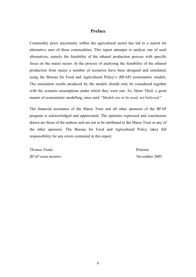#### **Preface**

Commodity price uncertainty within the agricultural sector has led to a search for alternative uses of these commodities. This report attempts to analyse one of such alternatives, namely the feasibility of the ethanol production process with specific focus on the maize sector. In the process of analysing the feasibility of the ethanol production from maize a number of scenarios have been designed and simulated, using the Bureau for Food and Agricultural Policy's (BFAP) econometric models. The simulation results produced by the models should only be considered together with the scenario assumptions under which they were run. As, Henri Theil, a great master of econometric modelling, once said: "*Models are to be used, not believed*."

The financial assistance of the Maize Trust and all other sponsors of the BFAP program is acknowledged and appreciated. The opinions expressed and conclusions drawn are those of the authors and are not to be attributed to the Maize Trust or any of the other sponsors. The Bureau for Food and Agricultural Policy takes full responsibility for any errors contained in this report.

*Thomas Funke* Pretoria *BFAP team member* November 2005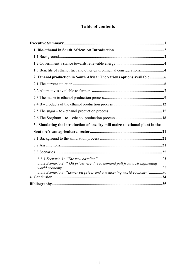# **Table of contents**

| 1.3 Benefits of ethanol fuel and other environmental considerations4         |  |
|------------------------------------------------------------------------------|--|
| 2. Ethanol production in South Africa: The various options available 6       |  |
|                                                                              |  |
|                                                                              |  |
|                                                                              |  |
|                                                                              |  |
|                                                                              |  |
|                                                                              |  |
| 3. Simulating the introduction of one dry mill maize-to-ethanol plant in the |  |
|                                                                              |  |
|                                                                              |  |
|                                                                              |  |
|                                                                              |  |
| 3.3.2 Scenario 2: " Oil prices rise due to demand pull from a strengthening  |  |
| 3.3.3 Scenario 3: "Lower oil prices and a weakening world economy"30         |  |
|                                                                              |  |
|                                                                              |  |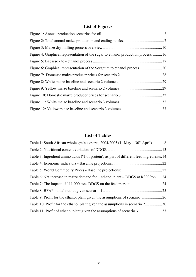# **List of Figures**

| Figure 4: Graphical representation of the sugar to ethanol production process. 16 |     |
|-----------------------------------------------------------------------------------|-----|
|                                                                                   |     |
|                                                                                   |     |
|                                                                                   |     |
|                                                                                   |     |
|                                                                                   | .29 |
|                                                                                   |     |
|                                                                                   | .32 |
|                                                                                   |     |

# **List of Tables**

| Table 3: Ingredient amino acids (% of protein), as part of different feed ingredients. 14 |  |
|-------------------------------------------------------------------------------------------|--|
|                                                                                           |  |
|                                                                                           |  |
| Table 6: Net increase in maize demand for 1 ethanol plant – DDGS at R300/ton 24           |  |
|                                                                                           |  |
|                                                                                           |  |
|                                                                                           |  |
| Table 10: Profit for the ethanol plant given the assumptions in scenario 230              |  |
|                                                                                           |  |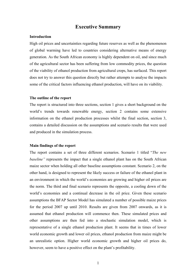## **Executive Summary**

#### **Introduction**

High oil prices and uncertainties regarding future reserves as well as the phenomenon of global warming have led to countries considering alternative means of energy generation. As the South African economy is highly dependent on oil, and since much of the agricultural sector has been suffering from low commodity prices, the question of the viability of ethanol production from agricultural crops, has surfaced. This report does not try to answer this question directly but rather attempts to analyse the impacts some of the critical factors influencing ethanol production, will have on its viability.

#### **The outline of the report**

The report is structured into three sections, section 1 gives a short background on the world's trends towards renewable energy, section 2 contains some extensive information on the ethanol production processes whilst the final section, section 3, contains a detailed discussion on the assumptions and scenario results that were used and produced in the simulation process.

#### **Main findings of the report**

The report contains a set of three different scenarios. Scenario 1 titled "*The new baseline*" represents the impact that a single ethanol plant has on the South African maize sector when holding all other baseline assumptions constant. Scenario 2, on the other hand, is designed to represent the likely success or failure of the ethanol plant in an environment in which the world's economies are growing and higher oil prices are the norm. The third and final scenario represents the opposite, a cooling down of the world's economies and a continual decrease in the oil price. Given these scenario assumptions the BFAP Sector Model has simulated a number of possible maize prices for the period 2007 up until 2010. Results are given from 2007 onwards, as it is assumed that ethanol production will commence then. These simulated prices and other assumptions are then fed into a stochastic simulation model, which is representative of a single ethanol production plant. It seems that in times of lower world economic growth and lower oil prices, ethanol production from maize might be an unrealistic option. Higher world economic growth and higher oil prices do, however, seem to have a positive effect on the plant's profitability.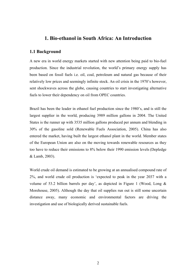# **1. Bio-ethanol in South Africa: An Introduction**

#### **1.1 Background**

A new era in world energy markets started with new attention being paid to bio-fuel production. Since the industrial revolution, the world's primary energy supply has been based on fossil fuels i.e. oil, coal, petroleum and natural gas because of their relatively low prices and seemingly infinite stock. An oil crisis in the 1970's however, sent shockwaves across the globe, causing countries to start investigating alternative fuels to lower their dependency on oil from OPEC countries.

Brazil has been the leader in ethanol fuel production since the 1980's, and is still the largest supplier in the world, producing 3989 million gallons in 2004. The United States is the runner up with 3535 million gallons produced per annum and blending in 30% of the gasoline sold (Renewable Fuels Association, 2005). China has also entered the market, having built the largest ethanol plant in the world. Member states of the European Union are also on the moving towards renewable resources as they too have to reduce their emissions to 8% below their 1990 emission levels (Depledge & Lamb, 2003).

World crude oil demand is estimated to be growing at an annualised compound rate of 2%, and world crude oil production is 'expected to peak in the year 2037 with a volume of 53.2 billion barrels per day', as depicted in Figure 1 (Wood, Long & Morehouse, 2005). Although the day that oil supplies run out is still some uncertain distance away, many economic and environmental factors are driving the investigation and use of biologically derived sustainable fuels.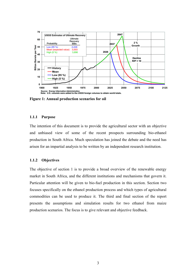

**Figure 1: Annual production scenarios for oil** 

#### **1.1.1 Purpose**

The intention of this document is to provide the agricultural sector with an objective and unbiased view of some of the recent prospects surrounding bio-ethanol production in South Africa. Much speculation has joined the debate and the need has arisen for an impartial analysis to be written by an independent research institution.

#### **1.1.2 Objectives**

The objective of section 1 is to provide a broad overview of the renewable energy market in South Africa, and the different institutions and mechanisms that govern it. Particular attention will be given to bio-fuel production in this section. Section two focuses specifically on the ethanol production process and which types of agricultural commodities can be used to produce it. The third and final section of the report presents the assumptions and simulation results for two ethanol from maize production scenarios. The focus is to give relevant and objective feedback.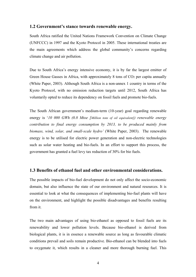#### **1.2 Government's stance towards renewable energy.**

South Africa ratified the United Nations Framework Convention on Climate Change (UNFCCC) in 1997 and the Kyoto Protocol in 2005. These international treaties are the main agreements which address the global community's concerns regarding climate change and air pollution.

Due to South Africa's energy intensive economy, it is by far the largest emitter of Green House Gasses in Africa, with approximately 8 tons of CO<sub>2</sub> per capita annually (White Paper, 2003). Although South Africa is a non-annex 1 country in terms of the Kyoto Protocol, with no emission reduction targets until 2012, South Africa has voluntarily opted to reduce its dependency on fossil fuels and promote bio-fuels.

The South African government's medium-term (10-year) goal regarding renewable energy is '*10 000 GWh (0.8 Mtoe [Million tons of oil equivalent]) renewable energy contribution to final energy consumption by 2013, to be produced mainly from biomass, wind, solar, and small-scale hydro'* (White Paper, 2003). The renewable energy is to be utilised for electric power generation and non-electric technologies such as solar water heating and bio-fuels. In an effort to support this process, the government has granted a fuel levy tax reduction of 30% for bio fuels.

#### **1.3 Benefits of ethanol fuel and other environmental considerations.**

The possible impacts of bio-fuel development do not only affect the socio-economic domain, but also influence the state of our environment and natural resources. It is essential to look at what the consequences of implementing bio-fuel plants will have on the environment, and highlight the possible disadvantages and benefits resulting from it.

The two main advantages of using bio-ethanol as opposed to fossil fuels are its renewability and lower pollution levels. Because bio-ethanol is derived from biological plants, it is in essence a renewable source as long as favourable climatic conditions prevail and soils remain productive. Bio-ethanol can be blended into fuels to oxygenate it, which results in a cleaner and more thorough burning fuel. This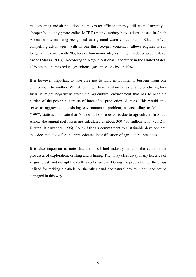reduces smog and air pollution and makes for efficient energy utilisation. Currently, a cheaper liquid oxygenate called MTBE (methyl tertiary-butyl ether) is used in South Africa despite its being recognised as a ground water contaminator. Ethanol offers compelling advantages. With its one-third oxygen content, it allows engines to run longer and cleaner, with 20% less carbon monoxide, resulting in reduced ground-level ozone (Mazza, 2003). According to Argone National Laboratory in the United States, 10% ethanol blends reduce greenhouse gas emissions by 12-19%.

It is however important to take care not to shift environmental burdens from one environment to another. Whilst we might lower carbon emissions by producing biofuels, it might negatively affect the agricultural environment that has to bear the burden of the possible increase of intensified production of crops. This would only serve to aggravate an existing environmental problem, as according to Mannion (1997), statistics indicate that 50 % of all soil erosion is due to agriculture. In South Africa, the annual soil losses are calculated at about 300-400 million tons (van Zyl, Kirsten, Binswanger 1996). South Africa's commitment to sustainable development, thus does not allow for an unprecedented intensification of agricultural practices.

It is also important to note that the fossil fuel industry disturbs the earth in the processes of exploration, drilling and refining. They may clear away many hectares of virgin forest, and disrupt the earth's soil structure. During the production of the crops utilised for making bio-fuels, on the other hand, the natural environment need not be damaged in this way.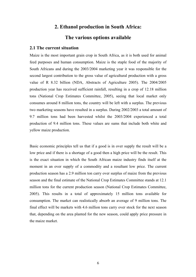# **2. Ethanol production in South Africa:**

# **The various options available**

#### **2.1 The current situation**

Maize is the most important grain crop in South Africa, as it is both used for animal feed purposes and human consumption. Maize is the staple food of the majority of South Africans and during the 2003/2004 marketing year it was responsible for the second largest contribution to the gross value of agricultural production with a gross value of R 8.32 billion (NDA, Abstracts of Agriculture 2005). The 2004/2005 production year has received sufficient rainfall, resulting in a crop of 12.18 million tons (National Crop Estimates Committee, 2005), seeing that local market only consumes around 8 million tons, the country will be left with a surplus. The previous two marketing seasons have resulted in a surplus. During 2002/2003 a total amount of 9.7 million tons had been harvested whilst the 2003/2004 experienced a total production of 9.4 million tons. These values are sums that include both white and yellow maize production.

Basic economic principles tell us that if a good is in over supply the result will be a low price and if there is a shortage of a good then a high price will be the result. This is the exact situation in which the South African maize industry finds itself at the moment in an over supply of a commodity and a resultant low price. The current production season has a 2.9 million ton carry over surplus of maize from the previous season and the final estimate of the National Crop Estimates Committee stands at 12.1 million tons for the current production season (National Crop Estimates Committee, 2005). This results in a total of approximately 15 million tons available for consumption. The market can realistically absorb an average of 9 million tons. The final effect will be markets with 4.6 million tons carry over stock for the next season that, depending on the area planted for the new season, could apply price pressure in the maize market.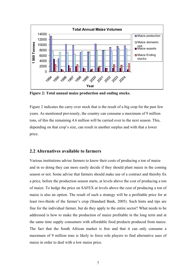

**Figure 2: Total annual maize production and ending stocks.**

Figure 2 indicates the carry over stock that is the result of a big crop for the past few years. As mentioned previously, the country can consume a maximum of 9 million tons, of this the remaining 4.6 million will be carried over to the next season. This, depending on that crop's size, can result in another surplus and with that a lower price.

#### **2.2 Alternatives available to farmers**

Various institutions advise farmers to know their costs of producing a ton of maize and in so doing they can more easily decide if they should plant maize in the coming season or not. Some advise that farmers should make use of a contract and thereby fix a price, before the production season starts, at levels above the cost of producing a ton of maize. To hedge the price on SAFEX at levels above the cost of producing a ton of maize is also an option. The result of such a strategy will be a profitable price for at least two-thirds of the farmer's crop (Standard Bank, 2005). Such hints and tips are fine for the individual farmer, but do they apply to the entire sector? What needs to be addressed is how to make the production of maize profitable in the long term and at the same time supply consumers with affordable food products produced from maize. The fact that the South African market is free and that it can only consume a maximum of 9 million tons is likely to force role players to find alternative uses of maize in order to deal with a low maize price.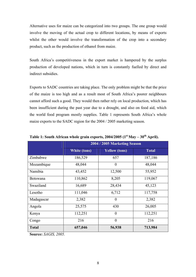Alternative uses for maize can be categorized into two groups. The one group would involve the moving of the actual crop to different locations, by means of exports whilst the other would involve the transformation of the crop into a secondary product, such as the production of ethanol from maize.

South Africa's competitiveness in the export market is hampered by the surplus production of developed nations, which in turn is constantly fuelled by direct and indirect subsidies.

Exports to SADC countries are taking place. The only problem might be that the price of the maize is too high and as a result most of South Africa's poorer neighbours cannot afford such a good. They would then rather rely on local production, which has been insufficient during the past year due to a drought, and also on food aid, which the world food program mostly supplies. Table 1 represents South Africa's whole maize exports to the SADC region for the 2004 / 2005 marketing season.

|                 | 2004 / 2005 Marketing Season |                      |              |  |  |  |  |
|-----------------|------------------------------|----------------------|--------------|--|--|--|--|
|                 | White (tons)                 | <b>Yellow</b> (tons) | <b>Total</b> |  |  |  |  |
| Zimbabwe        | 186,529                      | 657                  | 187,186      |  |  |  |  |
| Mozambique      | 48,044                       | $\overline{0}$       | 48,044       |  |  |  |  |
| Namibia         | 43,452                       | 12,500               | 55,952       |  |  |  |  |
| <b>Botswana</b> | 110,862                      | 8,205                | 119,067      |  |  |  |  |
| Swaziland       | 16,689                       | 28,434               | 45,123       |  |  |  |  |
| Lesotho         | 111,046                      | 6,712                | 117,758      |  |  |  |  |
| Madagascar      | 2,382                        | $\overline{0}$       | 2,382        |  |  |  |  |
| Angola          | 25,575                       | 430                  | 26,005       |  |  |  |  |
| Kenya           | 112,251                      | $\overline{0}$       | 112,251      |  |  |  |  |
| Congo           | 216                          | $\theta$             | 216          |  |  |  |  |
| <b>Total</b>    | 657,046                      | 56,938               | 713,984      |  |  |  |  |

Table 1: South African whole grain exports, 2004/2005 (1<sup>st</sup> May – 30<sup>th</sup> April).

**Source:** *SAGIS, 2005.*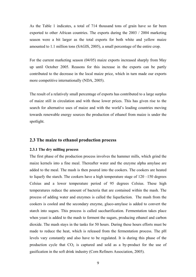As the Table 1 indicates, a total of 714 thousand tons of grain have so far been exported to other African countries. The exports during the 2003 / 2004 marketing season were a bit larger as the total exports for both white and yellow maize amounted to 1.1 million tons (SAGIS, 2005), a small percentage of the entire crop.

For the current marketing season (04/05) maize exports increased sharply from May up until October 2005. Reasons for this increase in the exports can be partly contributed to the decrease in the local maize price, which in turn made our exports more competitive internationally (NDA, 2005).

The result of a relatively small percentage of exports has contributed to a large surplus of maize still in circulation and with those lower prices. This has given rise to the search for alternative uses of maize and with the world's leading countries moving towards renewable energy sources the production of ethanol from maize is under the spotlight.

#### **2.3 The maize to ethanol production process**

#### **2.3.1 The dry milling process**

The first phase of the production process involves the hammer mills, which grind the maize kernels into a fine meal. Thereafter water and the enzyme alpha amylase are added to the meal. The mash is then poured into the cookers. The cookers are heated to liquefy the starch. The cookers have a high temperature stage of 120 –150 degrees Celsius and a lower temperature period of 95 degrees Celsius. These high temperatures reduce the amount of bacteria that are contained within the mash. The process of adding water and enzymes is called the liquefaction. The mash from the cookers is cooled and the secondary enzyme, gluco-amylase is added to convert the starch into sugars. This process is called saccharification. Fermentation takes place when yeast is added to the mash to ferment the sugars, producing ethanol and carbon dioxide. The mash stays in the tanks for 50 hours. During these hours efforts must be made to reduce the heat, which is released from the fermentation process. The pH levels vary constantly and also have to be regulated. It is during this phase of the production cycle that  $CO<sub>2</sub>$  is captured and sold as a by-product for the use of gasification in the soft drink industry (Corn Refiners Association, 2005).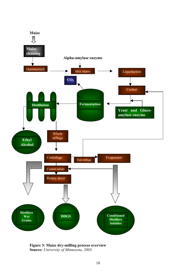

**Figure 3: Maize dry-milling process overview Source:** *University of Minnesota, 2003.*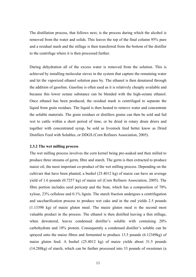The distillation process, that follows next, is the process during which the alcohol is removed from the water and solids. This leaves the top of the final column 95% pure and a residual mash and the stillage is then transferred from the bottom of the distiller to the centrifuge where it is then processed further.

During dehydration all of the excess water is removed from the solution. This is achieved by installing molecular sieves in the system that capture the remaining water and let the vaporized ethanol solution pass by. The ethanol is then denatured through the addition of gasoline. Gasoline is often used as it is relatively cheaply available and because this lower octane substance can be blended with the high-octane ethanol. Once ethanol has been produced, the residual mash is centrifuged to separate the liquid from grain residues. The liquid is then heated to remove water and concentrate the soluble materials. The grain residues or distillers grains can then be sold and fed wet to cattle within a short period of time, or be dried in rotary drum driers and together with concentrated syrup, be sold as livestock feed better know as Dried Distillers Feed with Solubles, or DDGS (Corn Refiners Association, 2005).

#### **2.3.2 The wet milling process**

The wet milling process involves the corn kernel being pre-soaked and then milled to produce three streams of germ, fibre and starch. The germ is then extracted to produce maize oil, the most important co-product of the wet milling process. Depending on the cultivars that have been planted, a bushel (25.4012 kg) of maize can have an average yield of 1.6 pounds (0.7257 kg) of maize oil (Corn Refiners Association, 2005). The fibre portion includes seed pericarp and the bran, which has a composition of 70% xylose, 23% cellulose and 0.1% lignin. The starch fraction undergoes a centrifugation and saccharification process to produce wet cake and in the end yields 2.5 pounds (1.13398 kg) of maize gluten meal. The maize gluten meal is the second most valuable product in the process. The ethanol is then distilled leaving a thin stillage, when dewatered, leaves condensed distiller's soluble with containing 20% carbohydrate and 18% protein. Consequently a condensed distiller's soluble can be sprayed onto the maize fibres and fermented to produce 13.5 pounds (6.12349kg) of maize gluten feed. A bushel (25.4012 kg) of maize yields about 31.5 pounds (14.288kg) of starch, which can be further processed into 33 pounds of sweetener (a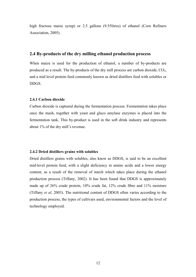high fructose maize syrup) or 2.5 gallons (9.55 litres) of ethanol (Corn Refiners Association, 2005).

#### **2.4 By-products of the dry milling ethanol production process**

When maize is used for the production of ethanol, a number of by-products are produced as a result. The by-products of the dry mill process are carbon dioxide,  $CO<sub>2</sub>$ , and a mid level protein feed commonly known as dried distillers feed with solubles or DDGS.

#### **2.4.1 Carbon dioxide**

Carbon dioxide is captured during the fermentation process. Fermentation takes place once the mash, together with yeast and gluco amylase enzymes is placed into the fermentation tank. This by-product is used in the soft drink industry and represents about 1% of the dry mill's revenue.

#### **2.4.2 Dried distillers grains with solubles**

Dried distillers grains with solubles, also know as DDGS, is said to be an excellent mid-level protein feed, with a slight deficiency in amino acids and a lower energy content, as a result of the removal of starch which takes place during the ethanol production process (Tiffany, 2002). It has been found that DDGS is approximately made up of 26% crude protein, 10% crude fat, 12% crude fibre and 11% moisture (Tiffany *et al*, 2003). The nutritional content of DDGS often varies according to the production process, the types of cultivars used, environmental factors and the level of technology employed.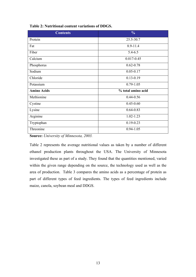| <b>Contents</b>    | $\frac{0}{0}$      |
|--------------------|--------------------|
| Protein            | 25.5-30.7          |
| Fat                | 8.9-11.4           |
| Fiber              | $5.4 - 6.5$        |
| Calcium            | $0.017 - 0.45$     |
| Phosphorus         | $0.62 - 0.78$      |
| Sodium             | $0.05 - 0.17$      |
| Chloride           | $0.13 - 0.19$      |
| Potassium          | $0.79 - 1.05$      |
| <b>Amino Acids</b> | % total amino acid |
| Methionine         | $0.44 - 0.56$      |
| Cystine            | $0.45 - 0.60$      |
| Lysine             | $0.64 - 0.83$      |
| Arginine           | $1.02 - 1.23$      |
| Tryptophan         | $0.19 - 0.23$      |
| Threonine          | $0.94 - 1.05$      |

#### **Table 2: Nutritional content variations of DDGS.**

**Source:** *University of Minnesota, 2003.* 

Table 2 represents the average nutritional values as taken by a number of different ethanol production plants throughout the USA. The University of Minnesota investigated these as part of a study. They found that the quantities mentioned, varied within the given range depending on the source, the technology used as well as the area of production. Table 3 compares the amino acids as a percentage of protein as part of different types of feed ingredients. The types of feed ingredients include maize, canola, soybean meal and DDGS.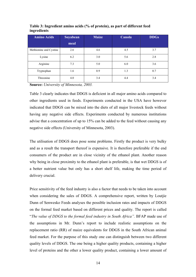| <b>Amino Acids</b>     | Soyabean<br>meal | <b>Maize</b> | Canola | <b>DDGs</b> |
|------------------------|------------------|--------------|--------|-------------|
| Methionine and Cystine | 2.6              | 4.6          | 4.5    | 3.7         |
| Lysine                 | 6.2              | 3.0          | 5.6    | 2.8         |
| Arginine               | 7.3              | 5.0          | 6.0    | 3.6         |
| Tryptophan             | 1.6              | 0.9          | 1.3    | 0.7         |
| Threonine              | 4.0              | 3.4          | 4.4    | 3.4         |

**Table 3: Ingredient amino acids (% of protein), as part of different feed ingredients** 

**Source:** *University of Minnesota, 2003.* 

Table 3 clearly indicates that DDGS is deficient in all major amino acids compared to other ingredients used in feeds. Experiments conducted in the USA have however indicated that DDGS can be mixed into the diets of all major livestock feeds without having any negative side effects. Experiments conducted by numerous institutions advise that a concentration of up to 15% can be added to the feed without causing any negative side effects (University of Minnesota, 2003).

The utilisation of DDGS does pose some problems. Firstly the product is very bulky and as a result the transport thereof is expensive. It is therefore preferable if the end consumers of the product are in close vicinity of the ethanol plant. Another reason why being in close proximity to the ethanol plant is preferable, is that wet DDGS is of a better nutrient value but only has a short shelf life, making the time period of delivery crucial.

Price sensitivity of the feed industry is also a factor that needs to be taken into account when considering the sales of DDGS. A comprehensive report, written by Loutjie Dunn of Senwesko Feeds analyses the possible inclusion rates and impacts of DDGS on the formal feed market based on different prices and quality. The report is called "*The value of DDGS to the formal feed industry in South Africa".* BFAP made use of the assumptions in Mr. Dunn's report to include realistic assumptions on the replacement ratio (RR) of maize equivalents for DDGS in the South African animal feed market. For the purpose of this study one can distinguish between two different quality levels of DDGS. The one being a higher quality products, containing a higher level of proteins and the other a lower quality product, containing a lower amount of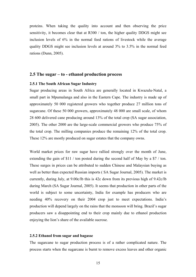proteins. When taking the quality into account and then observing the price sensitivity, it becomes clear that at R300 / ton, the higher quality DDGS might see inclusion levels of 6% in the normal feed rations of livestock while the average quality DDGS might see inclusion levels at around 3% to 3.5% in the normal feed rations (Dunn, 2005).

#### **2.5 The sugar – to - ethanol production process**

#### **2.5.1 The South African Sugar Industry**

Sugar producing areas in South Africa are generally located in Kwazulu-Natal, a small part in Mpumalanga and also in the Eastern Cape. The industry is made up of approximately 50 000 registered growers who together produce 27 million tons of sugarcane. Of these 50 000 growers, approximately 48 000 are small scale, of whom 28 600 delivered cane producing around 13% of the total crop (SA sugar association, 2005). The other 2000 are the large-scale commercial growers who produce 75% of the total crop. The milling companies produce the remaining 12% of the total crop. These 12% are mostly produced on sugar estates that the company owns.

World market prices for raw sugar have rallied strongly over the month of June, extending the gain of \$11 / ton posted during the second half of May by a \$7 / ton. These surges in prices can be attributed to sudden Chinese and Malaysian buying as well as better than expected Russian imports ( SA Sugar Journal, 2005). The market is currently, during July, at 9.00c/lb this is 42c down from its previous high of 9.42c/lb during March (SA Sugar Journal, 2005). It seems that production in other parts of the world is subject to some uncertainty, India for example has producers who are needing 40% recovery on their 2004 crop just to meet expectations. India's production will depend largely on the rains that the monsoon will bring. Brazil's sugar producers saw a disappointing end to their crop mainly due to ethanol production enjoying the lion's share of the available sucrose.

#### **2.5.2 Ethanol from sugar and bagasse**

The sugarcane to sugar production process is of a rather complicated nature. The process starts when the sugarcane is burnt to remove excess leaves and other organic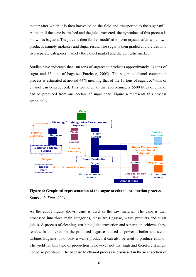matter after which it is then harvested on the field and transported to the sugar mill. At the mill the cane is crushed and the juice extracted, the byproduct of this process is known as bagasse. The juice is then further modified to form crystals after which two products, namely molasses and Sugar result. The sugar is then graded and divided into two separate categories, namely the export market and the domestic market.

Studies have indicated that 100 tons of sugarcane produces approximately 13 tons of sugar and 15 tons of bagasse (Purchase, 2005). The sugar to ethanol conversion process is estimated at around 44% meaning that of the 13 tons of sugar, 5,7 tons of ethanol can be produced. This would entail that approximately 5500 litres of ethanol can be produced from one hectare of sugar cane. Figure 4 represents this process graphically.





As the above figure shows, cane is used as the raw material. The cane is then processed into three main categories, these are Bagasse, waste products and sugar juices. A process of cleaning, crushing, juice extraction and separation achieves these results. In this example the produced bagasse is used to power a boiler and steam turbine. Bagasse is not only a waste product, it can also be used to produce ethanol. The yield for this type of production is however not that high and therefore it might not be so profitable. The bagasse to ethanol process is discussed in the next section of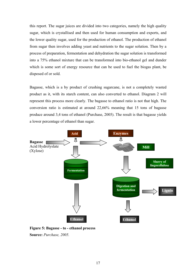this report. The sugar juices are divided into two categories, namely the high quality sugar, which is crystallised and then used for human consumption and exports, and the lower quality sugar, used for the production of ethanol. The production of ethanol from sugar then involves adding yeast and nutrients to the sugar solution. Then by a process of preparation, fermentation and dehydration the sugar solution is transformed into a 75% ethanol mixture that can be transformed into bio-ethanol gel and dunder which is some sort of energy resource that can be used to fuel the biogas plant, be disposed of or sold.

Bagasse, which is a by product of crushing sugarcane, is not a completely wasted product as it, with its starch content, can also converted to ethanol. Diagram 2 will represent this process more clearly. The bagasse to ethanol ratio is not that high. The conversion ratio is estimated at around 22,66% meaning that 15 tons of bagasse produce around 3,4 tons of ethanol (Purchase, 2005). The result is that bagasse yields a lower percentage of ethanol than sugar.



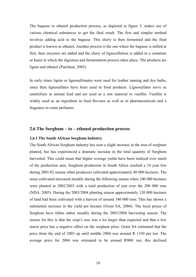The bagasse to ethanol production process, as depicted in figure 5, makes use of various chemical substances to get the final result. The first and simpler method involves adding acid to the bagasse. This slurry is then fermented and the final product is known as ethanol. Another process is the one where the bagasse is milled at first, then enzymes are added and the slurry of lignocellulose is added to a container or basin in which the digestion and fermentation process takes place. The products are lignin and ethanol (Purchase, 2005).

In early times lignin or lignosulfonates were used for leather tanning and dye baths, since then lignosulfates have been used in food products. Lignosulfates serve as emulsifiers in animal feed and are used as a raw material in vanillin. Vanillin is widely used as an ingredient in food flavours as well as in pharmaceuticals and a fragrance in some perfumes.

#### **2.6 The Sorghum – to – ethanol production process**

#### **2.6.1 The South African Sorghum Industry**

The South African Sorghum industry has seen a slight increase in the area of sorghum planted, but has experienced a dramatic increase in the total quantity of Sorghum harvested. This could mean that higher average yields have been realised over much of the production area. Sorghum production in South Africa reached a 10 year low during 2001/02 season when producers cultivated approximately 80 000 hectares. The areas cultivated increased steadily during the following season when 100 000 hectares were planted in 2002/2003 with a total production of just over the 200 000 tons (NDA, 2005). During the 2003/2004 planting season approximately 120 000 hectares of land had been cultivated with a harvest of around 340 000 tons. This has shown a substantial increase in the yield per hectare (Grain SA, 2004). The local prices of Sorghum have fallen rather steadily during the 2003/2004 harvesting season. The reason for this is that the crop's size was a lot larger than expected and that a low maize price has a negative effect on the sorghum price. Grain SA estimated that the price from the end of 2003 up until middle 2004 was around R 1350 per ton. The average price for 2004 was estimated to be around R900/ ton, this declined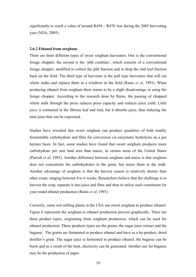significantly to reach a value of around  $R450 - R470$  /ton during the 2005 harvesting year (NDA, 2005).

#### **2.6.2 Ethanol from sorghum**

There are three different types of sweet sorghum harvesters. One is the conventional forage chopper, the second is the 'pith combine', which consists of a conventional forage chopper, modified to collect the pith fraction and to drop the rind leaf fraction back on the field. The third type of harvester is the pull type harvesters that will cut whole stalks and replace them in a windrow in the field (Rains *et al*, 1993). When producing ethanol from sorghum there seems to be a slight disadvantage in using the forage chopper. According to the research done by Rains, the passing of chopped whole stalk through the press reduces press capacity and reduces juice yield. Little juice is contained in the fibrous leaf and rind, but it absorbs juice, thus reducing the total juice that can be expressed.

Studies have revealed that sweet sorghum can produce quantities of both readily fermentable carbohydrate and fibre for conversion via enzymatic hydrolysis on a per hectare basis. In fact, some studies have found that sweet sorghum produces more carbohydrate per unit land area than maize, in certain areas of the United States (Parrish *et al*, 1985). Another difference between sorghum and maize is that sorghum does not concentrate the carbohydrates in the grain, but stores them in the stalk. Another advantage of sorghum is that the harvest season is relatively shorter than other crops, ranging between 4 to 6 weeks. Researchers believe that the challenge is to harvest the crop, separate it into juice and fibre and then to utilise each constituent for year round ethanol production (Rains *et al*, 1993).

Currently, some wet milling plants in the USA use sweet sorghum to produce ethanol. Figure 6 represents the sorghum to ethanol production process graphically. There are three product types, originating from sorghum production, which can be used for ethanol production. These products types are the grains, the sugar juice extract and the bagasse. The grains are fermented to produce ethanol and have as a by-product, dried distiller's grain. The sugar juice is fermented to produce ethanol, the bagasse can be burnt and as a result of the heat, electricity can be generated. Another use for bagasse may be the production of paper.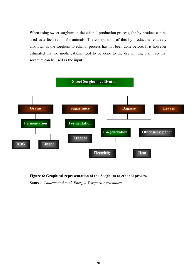When using sweet sorghum in the ethanol production process, the by-product can be used as a feed ration for animals. The composition of this by-product is relatively unknown as the sorghum to ethanol process has not been done before. It is however estimated that no modifications need to be done to the dry milling plant, so that sorghum can be used as the input.



**Figure 6: Graphical representation of the Sorghum to ethanol process Source:** *Chiaramonti et al, Energia Trasporti Agricoltura.*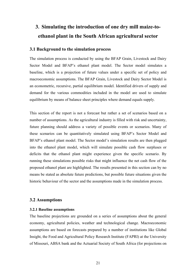# **3. Simulating the introduction of one dry mill maize-toethanol plant in the South African agricultural sector**

#### **3.1 Background to the simulation process**

The simulation process is conducted by using the BFAP Grain, Livestock and Dairy Sector Model and BFAP's ethanol plant model. The Sector model simulates a baseline, which is a projection of future values under a specific set of policy and macroeconomic assumptions. The BFAP Grain, Livestock and Dairy Sector Model is an econometric, recursive, partial equilibrium model. Identified drivers of supply and demand for the various commodities included in the model are used to simulate equilibrium by means of balance sheet principles where demand equals supply.

This section of the report is not a forecast but rather a set of scenarios based on a number of assumptions. As the agricultural industry is filled with risk and uncertainty, future planning should address a variety of possible events or scenarios. Many of these scenarios can be quantitatively simulated using BFAP's Sector Model and BFAP's ethanol plant model. The Sector model's simulation results are then plugged into the ethanol plant model, which will simulate possible cash flow surpluses or deficits that the ethanol plant might experience given the specific scenario. By running these simulations possible risks that might influence the net cash flow of the proposed ethanol plant are highlighted. The results presented in this section can by no means be stated as absolute future predictions, but possible future situations given the historic behaviour of the sector and the assumptions made in the simulation process.

#### **3.2 Assumptions**

#### **3.2.1 Baseline assumptions**

The baseline projections are grounded on a series of assumptions about the general economy, agricultural policies, weather and technological change. Macroeconomic assumptions are based on forecasts prepared by a number of institutions like Global Insight, the Food and Agricultural Policy Research Institute (FAPRI) at the University of Missouri, ABSA bank and the Actuarial Society of South Africa (for projections on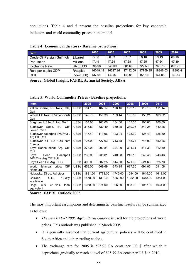population). Table 4 and 5 present the baseline projections for key economic indicators and world commodity prices in the model.

| <b>Item</b>                 |                 | 2005     | 2006     | 2007     | 2008     | 2009     | 2010     |
|-----------------------------|-----------------|----------|----------|----------|----------|----------|----------|
| Crude Oil Persian Gulf: fob | \$/barrel       | 55.00    | 56.03    | 57.07    | 58.10    | 59.13    | 60.16    |
| <b>Population</b>           | <b>Millions</b> | 47.49    | 47.64    | 47.68    | 47.65    | 47.54    | 47.39    |
| <b>Exchange Rate</b>        | SA c/US\$       | 595.98   | 640.09   | 681.69   | 722.59   | 763.78   | 805.79   |
| Real per capita GDP         | R/capita        | 16049.48 | 16627.26 | 17192.59 | 17759.95 | 18346.03 | 18896.41 |
| <b>CPIF</b>                 | Index ('00)     | 137.94   | 143.87   | 149.91   | 155.16   | 161.83   | 168.47   |

|  |  |  |  |  | Table 4: Economic indicators - Baseline projections: |
|--|--|--|--|--|------------------------------------------------------|
|--|--|--|--|--|------------------------------------------------------|

**Source: Global Insight, FAPRI, Actuarial Society, ABSA** 

| <b>Item</b>                                        |               | 2005    | 2006    | 2007    | 2008    | 2009    | 2010    |
|----------------------------------------------------|---------------|---------|---------|---------|---------|---------|---------|
| Yellow maize, US No.2, fob,<br>Gulf                | US\$/t        | 104.19  | 107.17  | 108.16  | 109.16  | 110.15  | 111.14  |
| Wheat US No2 HRW fob (ord)<br>Gulf                 | US\$/t        | 148.75  | 150.39  | 153.44  | 155.50  | 158.21  | 160.52  |
| Sorghum, US No.2, fob, Gulf                        | US\$/t        | 104.00  | 103.00  | 104.00  | 105.00  | 106.00  | 106.00  |
| Sunflower Seed, EU<br>CIF<br>Lower Rhine           | US\$/t        | 315.80  | 330.49  | 339.05  | 339.05  | 340.28  | 340.28  |
| Sunflower cake(pell 37/38%),<br>Arg CIF Rott       | <b>US\$/t</b> | 117.40  | 119.66  | 123.04  | 125.30  | 126.43  | 125.30  |
| Sunflower oil, EU FOB NW<br>Europe                 | US\$/t        | 705.00  | 727.63  | 743.48  | 745.74  | 748.00  | 750.26  |
| Soya Beans seed: Arg. CIF<br>Rott                  | US\$/t        | 278.00  | 290.81  | 304.90  | 311.31  | 311.31  | 312.59  |
| Bean<br>Soya<br>Cake(pell<br>44/45%): Arg CIF Rott | US\$/t        | 235.00  | 238.81  | 240.08  | 245.16  | 246.43  | 246.43  |
| Soya Bean Oil: Arg. FOB                            | US\$/t        | 490.00  | 502.25  | 514.50  | 521.65  | 521.65  | 525.73  |
| fishmeal price:<br>CIF.<br>World<br>Hamburg        | US\$/t        | 659.00  | 669.69  | 673.25  | 687.50  | 691.06  | 691.06  |
| Nebraska, Direct fed-steer                         | US\$/t        | 1831.00 | 1773.00 | 1742.00 | 1694.00 | 1645.00 | 1612.00 |
| U.S.<br>12-city<br>Chicken.<br>wholesale           | US\$/t        | 1478.00 | 1392.00 | 1360.00 | 1352.00 | 1348.00 | 1351.00 |
| Hogs, U.S. 51-52%<br>lean<br>equivalent            | US\$/t        | 1058.00 | 874.00  | 906.00  | 983.00  | 1067.00 | 1031.00 |

**Table 5: World Commodity Prices - Baseline projections:** 

#### **Source: FAPRI. Outlook 2005**

The most important assumptions and deterministic baseline results can be summarized as follows:

- *The new FAPRI 2005 Agricultural Outlook* is used for the projections of world prices. This outlook was published in March 2005.
- It is generally assumed that current agricultural policies will be continued in South Africa and other trading nations.
- The exchange rate for 2005 is 595.98 SA cents per US \$ after which it depreciates gradually to reach a level of 805.79 SA cents per US \$ in 2010.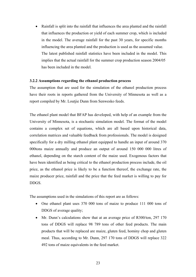Rainfall is split into the rainfall that influences the area planted and the rainfall that influences the production or yield of each summer crop, which is included in the model. The average rainfall for the past 30 years, for specific months influencing the area planted and the production is used as the assumed value. The latest published rainfall statistics have been included in the model. This implies that the actual rainfall for the summer crop production season 2004/05 has been included in the model

#### **3.2.2 Assumptions regarding the ethanol production process**

The assumption that are used for the simulation of the ethanol production process have their roots in reports gathered from the University of Minnesota as well as a report compiled by Mr. Loutjie Dunn from Senwesko feeds.

The ethanol plant model that BFAP has developed, with help of an example from the University of Minnesota, is a stochastic simulation model. The format of the model contains a complex set of equations, which are all based upon historical data, correlation matrices and valuable feedback from professionals. The model is designed specifically for a dry milling ethanol plant equipped to handle an input of around 370 000tons maize annually and produce an output of around 150 000 000 litres of ethanol, depending on the starch content of the maize used. Exogenous factors that have been identified as being critical to the ethanol production process include, the oil price, as the ethanol price is likely to be a function thereof, the exchange rate, the maize producer price, rainfall and the price that the feed market is willing to pay for DDGS.

The assumptions used in the simulations of this report are as follows:

- One ethanol plant uses 370 000 tons of maize to produce 111 000 tons of DDGS of average quality;
- Mr. Dunn's calculations show that at an average price of R300/ton, 297 170 tons of DDGS will replace 98 789 tons of other feed products. The main products that will be replaced are maize, gluten feed, hominy chop and gluten meal. Thus, according to Mr. Dunn, 297 170 tons of DDGS will replace 322 492 tons of maize equivalents in the feed market.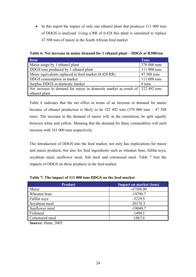• In this report the impact of only one ethanol plant that produces 111 000 tons of DDGS is analysed. Using a RR of 0.428 this plant is simulated to replace 47 508 tons of maize in the South African feed market.

**Table 6: Net increase in maize demand for 1 ethanol plant – DDGS at R300/ton** 

| <b>Item</b>                                                                  | <b>Tons</b>  |
|------------------------------------------------------------------------------|--------------|
| Maize usage by 1 ethanol plant                                               | 370 000 tons |
| DDGS tons produced by 1 ethanol plant                                        | 111 000 tons |
| Maize equivalents replaced in feed market (0,428 RR)                         | 47 508 tons  |
| DDGS consumption in market                                                   | 111 000 tons |
| Surplus DDGS in domestic market                                              | 0 tons       |
| Net increase in demand for maize in domestic market as result of 322492 tons |              |
| ethanol plant                                                                |              |

Table 6 indicates that the net effect in terms of an increase in demand for maize because of ethanol production is likely to be  $322,492$  tons  $(370,000)$  tons  $-47,508$ tons). The increase in the demand of maize will, in the simulation, be split equally between white and yellow. Meaning that the demand for these commodities will each increase with 161 000 tons respectively.

The introduction of DDGS into the feed market, not only has implications for maize and maize products, but also for feed ingredients such as wheaten bran, fullfat soya, soyabean meal, sunflower meal, fish meal and cottonseed meal. Table 7 lists the impacts of DDGS on these products in the feed market.

| <b>Product</b>  | <b>Impact on market (tons)</b> |
|-----------------|--------------------------------|
| Maize           | -47508.00                      |
| Wheaten bran    | $-19796.7$                     |
| Fullfat soya    | $-5229.3$                      |
| Soyabean meal   | 20170.3                        |
| Sunflower meal  | $-19049.7$                     |
| Fishmeal        | $-1494.1$                      |
| Cottonseed meal | $-1867.6$                      |

**Table 7: The impact of 111 000 tons DDGS on the feed market** 

**Source:** Dunn, 2005.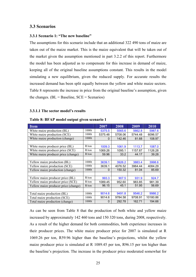#### **3.3 Scenarios**

#### **3.3.1 Scenario 1: "The new baseline"**

The assumptions for this scenario include that an additional 322 490 tons of maize are taken out of the maize market. This is the maize equivalent that will be taken out of the market given the assumption mentioned in part 3.2.2 of this report. Furthermore the model has been adjusted as to compensate for this increase in demand of maize, keeping all of the original baseline assumptions constant. This results in the model simulating a new equilibrium, given the reduced supply. For accurate results the increased demand has been split equally between the yellow and white maize sectors. Table 8 represents the increase in price from the original baseline's assumption, given the changes.  $(BL = Baseline, SCE = Scenarios)$ 

#### **3.3.1.1 The sector model's results**

| <b>Item</b>                          |       | 2007    | 2008    | 2009    | 2010     |
|--------------------------------------|-------|---------|---------|---------|----------|
| White maize production (BL)          | 1000t | 5375.5  | 5565.6  | 5662.8  | 5987.6   |
| White maize production (SCE)         | 1000t | 5375.48 | 5708.06 | 5744.48 | 6096.57  |
| White maize production (change)      | 1000t | 0       | 142.46  | 81.68   | 108.97   |
|                                      |       |         |         |         |          |
| White maize producer price (BL)      | R/ton | 1009.3  | 1061.9  | 1113.7  | 1087.0   |
| White maize producer price (SCE)     | R/ton | 1069.26 | 1095.1  | 1157.87 | 1126.28  |
| White maize producer price (change)  | R/ton | 59.96   | 33.2    | 44.17   | 39.28    |
|                                      |       |         |         |         |          |
| Yellow maize production (BL)         | 1000t | 3639.1  | 3926.2  | 3883.4  | 3998.6   |
| Yellow maize production (SCE)        | 1000t | 3639.1  | 4076.52 | 3964.44 | 4084.29  |
| Yellow maize production (change)     | 1000t | 0       | 150.32  | 81.04   | 85.69    |
|                                      |       |         |         |         |          |
| Yellow maize producer price (BL)     | R/ton | 993.3   | 907.5   | 931.9   | 924.7    |
| Yellow maize producer price (SCE)    | R/ton | 1089.45 | 952.60  | 983.85  | 981.39   |
| Yellow maize producer price (change) | R/ton | 96.15   | 45.1    | 51.95   | 56.69    |
|                                      |       |         |         |         |          |
| Total maize production (BL)          | 1000t | 9014.6  | 9491.8  | 9546.2  | 9986.2   |
| Total maize production (SCE)         | 1000t | 9014.6  | 9784.58 | 9708.91 | 10180.86 |
| Total maize production (change)      | 1000t | 0       | 292.78  | 162.71  | 194.66   |

#### **Table 8: BFAP model output given scenario 1**

As can be seen from Table 8 that the production of both white and yellow maize increased by approximately 142 460 tons and 150 320 tons, during 2008, respectively. As a result of the higher demand for both commodities, both experience increases in their producer prices. The white maize producer price for 2007 is simulated at R 1069.26 per ton, R59.96 higher than the baseline's projections, whilst the yellow maize producer price is simulated at R 1089.45 per ton, R96.15 per ton higher than the baseline's projection. The increase in the producer price moderated somewhat for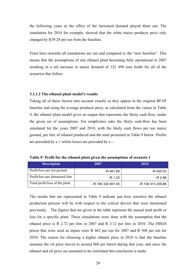the following years as the effect of the increased demand played them out. The simulation for 2010 for example, showed that the white maize producer price only changed by R39.28 per ton from the baseline.

From here onwards all simulations are run and compared to the "new baseline". This means that the assumptions of one ethanol plant becoming fully operational in 2007 resulting in a net increase in maize demand of 322 490 tons holds for all of the scenarios that follow.

#### **3.3.1.2 The ethanol plant model's results**

Taking all of these factors into account exactly as they appear in the original BFAP baseline and using the average producer price, as calculated from the values in Table 9, the ethanol plant model gives an output that represents the likely cash-flow, under the given set of assumptions. For simplicities sake the likely cash-flow has been simulated for the years 2007 and 2010, with the likely cash flows per ton maize ground, per litre of ethanol produced and the total presented in Table 9 below. Profits are preceded by  $a +$  whilst losses are preceded by  $a -$ .

| <b>Description</b>              | 2007              | 2010              |
|---------------------------------|-------------------|-------------------|
| Profit/loss per ton ground      | -R 461.89         | -R 420.02         |
| Profit/loss per denatured litre | $-R$ 1.23         | -R 0.98           |
| Total profit/loss of the plant  | -R 195 324 851.45 | -R 139 313 239.86 |

**Table 9: Profit for the ethanol plant given the assumptions of scenario 1** 

The results that are represented in Table 9 indicate just how sensitive the ethanol production process will be with respect to the critical drivers that were mentioned previously. The figures that are given in the table represent the annual total profit or loss for a specific plant. These simulations were done with the assumption that the ethanol price is R 2.72 per litre in 2007 and R 3.12 per litre in 2010. The DDGS prices that were used as inputs were R 462 per ton for 2007 and R 508 per ton for 2010. The reason for choosing a higher ethanol price in 2010 is that the baseline assumes the oil price moves to around \$60 per barrel during that year, and since the ethanol and oil price are assumed to be correlated this conclusion is made.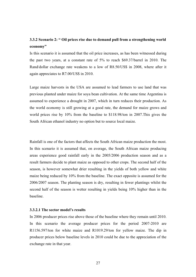# **3.3.2 Scenario 2: " Oil prices rise due to demand pull from a strengthening world economy"**

Is this scenario it is assumed that the oil price increases, as has been witnessed during the past two years, at a constant rate of 5% to reach \$69.37/barrel in 2010. The Rand/dollar exchange rate weakens to a low of R8.50/US\$ in 2008, where after it again appreciates to R7.00/US\$ in 2010.

Large maize harvests in the USA are assumed to lead farmers to use land that was previous planted under maize for soya bean cultivation. At the same time Argentina is assumed to experience a drought in 2007, which in turn reduces their production. As the world economy is still growing at a good rate, the demand for maize grows and world prices rise by 10% from the baseline to \$118.98/ton in 2007.This gives the South African ethanol industry no option but to source local maize.

Rainfall is one of the factors that affects the South African maize production the most. In this scenario it is assumed that, on average, the South African maize producing areas experience good rainfall early in the 2005/2006 production season and as a result farmers decide to plant maize as opposed to other crops. The second half of the season, is however somewhat drier resulting in the yields of both yellow and white maize being reduced by 10% from the baseline. The exact opposite is assumed for the 2006/2007 season. The planting season is dry, resulting in fewer plantings whilst the second half of the season is wetter resulting in yields being 10% higher than in the baseline.

#### **3.3.2.1 The sector model's results**

In 2006 producer prices rise above those of the baseline where they remain until 2010. In this scenario the average producer prices for the period 2007-2010 are R1156.597/ton for white maize and R1019.29/ton for yellow maize. The dip in producer prices below baseline levels in 2010 could be due to the appreciation of the exchange rate in that year.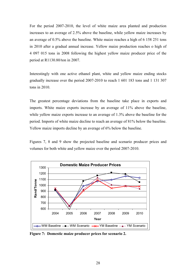For the period 2007-2010, the level of white maize area planted and production increases to an average of 2.5% above the baseline, while yellow maize increases by an average of 0.5% above the baseline. White maize reaches a high of 6 158 251 tons in 2010 after a gradual annual increase. Yellow maize production reaches o high of 4 097 015 tons in 2008 following the highest yellow maize producer price of the period at R1130.80/ton in 2007.

Interestingly with one active ethanol plant, white and yellow maize ending stocks gradually increase over the period 2007-2010 to reach 1 601 183 tons and 1 131 307 tons in 2010.

The greatest percentage deviations from the baseline take place in exports and imports. White maize exports increase by an average of 11% above the baseline, while yellow maize exports increase to an average of 1.3% above the baseline for the period. Imports of white maize decline to reach an average of 81% below the baseline. Yellow maize imports decline by an average of 6% below the baseline.

Figures 7, 8 and 9 show the projected baseline and scenario producer prices and volumes for both white and yellow maize over the period 2007-2010.



**Figure 7: Domestic maize producer prices for scenario 2.**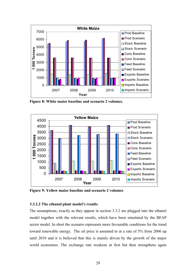

**Figure 8: White maize baseline and scenario 2 volumes.** 



**Figure 9: Yellow maize baseline and scenario 2 volumes** 

#### **3.3.2.2 The ethanol plant model's results**

The assumptions, exactly as they appear in section 3.3.2 are plugged into the ethanol model together with the relevant results, which have been simulated by the BFAP sector model. In short the scenario represents more favourable conditions for the trend toward renewable energy. The oil price is assumed to at a rate of 5% from 2006 up until 2010 and it is believed that this is mainly driven by the growth of the major world economies. The exchange rate weakens at first but then strengthens again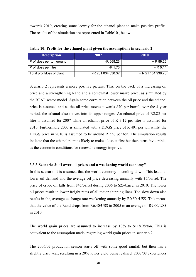towards 2010, creating some leeway for the ethanol plant to make positive profits. The results of the simulation are represented in Table10 , below.

| <b>Description</b>         | 2007              | 2010              |
|----------------------------|-------------------|-------------------|
| Profit/loss per ton ground | -R 668.23         | $+ R89.26$        |
| Profit/loss per litre      | -R 1.70           | $+ R 0.14$        |
| Total profit/loss of plant | -R 231 034 530.32 | + R 21 151 938.75 |

**Table 10: Profit for the ethanol plant given the assumptions in scenario 2** 

Scenario 2 represents a more positive picture. This, on the back of a increasing oil price and a strengthening Rand and a somewhat lower maize price, as simulated by the BFAP sector model. Again some correlation between the oil price and the ethanol price is assumed and as the oil price moves towards \$70 per barrel, over the 4-year period, the ethanol also moves into its upper ranges. An ethanol price of R2.85 per litre is assumed for 2007 while an ethanol price of R 3.12 per litre is assumed for 2010. Furthermore 2007 is simulated with a DDGS price of R 491 per ton whilst the DDGS price in 2010 is assumed to be around R 556 per ton. The simulation results indicate that the ethanol plant is likely to make a loss at first but then turns favourable, as the economic conditions for renewable energy improve.

#### **3.3.3 Scenario 3: "Lower oil prices and a weakening world economy"**

In this scenario it is assumed that the world economy is cooling down. This leads to lower oil demand and the average oil price decreasing annually with \$5/barrel. The price of crude oil falls from \$45/barrel during 2006 to \$25/barrel in 2010. The lower oil prices result in lower freight rates of all major shipping lines. The slow down also results in the, average exchange rate weakening annually by R0.50 /US\$. This means that the value of the Rand drops from R6.40/US\$ in 2005 to an average of R9.00/US\$ in 2010.

The world grain prices are assumed to increase by 10% to \$118.98/ton. This is equivalent to the assumption made, regarding world grain prices in scenario 2.

The 2006/07 production season starts off with some good rainfall but then has a slightly drier year, resulting in a 20% lower yield being realised. 2007/08 experiences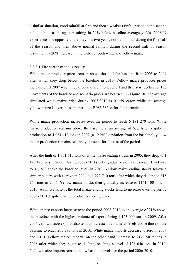a similar situation, good rainfall at first and then a weaker rainfall period in the second half of the season, again resulting in 20% below baseline average yields. 2008/09 experiences the opposite to the previous two years, normal rainfall during the first half of the season and then above normal rainfall during the second half of season resulting in a 20% increase in the yield for both white and yellow maize.

#### **3.3.3.1 The sector model's results**

White maize producer prices remain above those of the baseline from 2005 to 2009 after which they drop below the baseline in 2010. Yellow maize producer prices increase until 2007 when they drop and seem to level off and then start declining. The movements of the baseline and scenario prices are best seen in Figure 10. The average simulated white maize price during 2007-2010 is R1159.39/ton while the average yellow maize is over the same period is R983.58/ton for this scenario.

White maize production increases over the period to reach 6 181 270 tons. White maize production remains above the baseline at an average of 6%. After a spike in production to 4 084 410 tons in 2007 (a 12.24% deviation from the baseline), yellow maize production remains relatively constant for the rest of the period.

After the high of 1 801 610 tons of white maize ending stocks in 2005, they drop to 1 490 420 tons in 2006. During 2007-2010 stocks gradually increase to reach 1 741 940 tons (15% above the baseline level) in 2010. Yellow maize ending stocks follow a similar pattern with a spike in 2004 to 1 223 710 tons after which they decline to 815 750 tons in 2005. Yellow maize stocks then gradually increase to 1151 100 tons in 2010. As in scenario 1, the total maize ending stocks tend to increase over the period 2007-2010 despite ethanol production taking place.

White maize exports increase over the period 2007-2010 to an average of 21% above the baseline, with the highest volume of exports being 1 123 000 tons in 2009. After 2005 yellow maize exports also tend to increase in volume at levels above those of the baseline to reach 260 380 tons in 2010. White maize imports decrease to zero in 2009 and 2010. Yellow maize imports, on the other hand, increase to 214 150 tonnes in 2006 after which they begin to decline, reaching a level of 128 040 tons in 2010. Yellow maize imports remain below baseline levels for the period 2006-2010.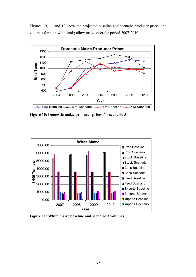Figures 10, 11 and 12 show the projected baseline and scenario producer prices and volumes for both white and yellow maize over the period 2007-2010.



**Figure 10: Domestic maize producer prices for scenario 3** 



**Figure 11: White maize baseline and scenario 3 volumes**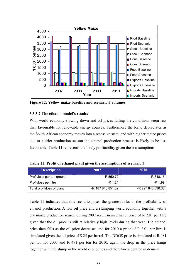

**Figure 12: Yellow maize baseline and scenario 3 volumes** 

#### **3.3.3.2 The ethanol model's results**

With world economy slowing down and oil prices falling the conditions seem less than favourable for renewable energy sources. Furthermore the Rand depreciates as the South African economy moves into a recessive state, and with higher maize prices due to a drier production season the ethanol production process is likely to be less favourable. Table 11 represents the likely profitability given these assumptions.

| <b>Description</b>         | 2007              | 2010              |
|----------------------------|-------------------|-------------------|
| Profit/loss per ton ground | -R 550.72         | -R 848.15         |
| Profit/loss per litre      | $-R$ 1.24         | $-R$ 1.99         |
| Total profit/loss of plant | -R 187 840 851.02 | -R 297 846 036.38 |

**Table 11: Profit of ethanol plant given the assumptions of scenario 3** 

Table 11 indicates that this scenario poses the greatest risks to the profitability of ethanol production. A low oil price and a slumping world economy together with a dry maize production season during 2007 result in an ethanol price of R 2.81 per litre given that the oil price is still at relatively high levels during that year. The ethanol price then falls as the oil price decreases and for 2010 a price of R 2.01 per litre is simulated given the oil price of \$ 25 per barrel. The DDGS price is simulated at R 481 per ton for 2007 and R 471 per ton for 2010, again the drop in the price hangs together with the slump in the world economies and therefore a decline in demand.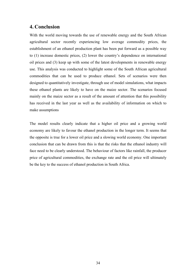## **4. Conclusion**

With the world moving towards the use of renewable energy and the South African agricultural sector recently experiencing low average commodity prices, the establishment of an ethanol production plant has been put forward as a possible way to (1) increase domestic prices, (2) lower the country's dependence on international oil prices and (3) keep up with some of the latest developments in renewable energy use. This analysis was conducted to highlight some of the South African agricultural commodities that can be used to produce ethanol. Sets of scenarios were then designed to quantitatively investigate, through use of model simulations, what impacts these ethanol plants are likely to have on the maize sector. The scenarios focused mainly on the maize sector as a result of the amount of attention that this possibility has received in the last year as well as the availability of information on which to make assumptions

The model results clearly indicate that a higher oil price and a growing world economy are likely to favour the ethanol production in the longer term. It seems that the opposite is true for a lower oil price and a slowing world economy. One important conclusion that can be drawn from this is that the risks that the ethanol industry will face need to be clearly understood. The behaviour of factors like rainfall, the producer price of agricultural commodities, the exchange rate and the oil price will ultimately be the key to the success of ethanol production in South Africa.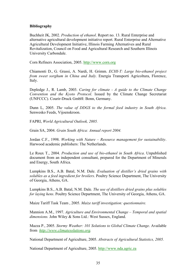#### **Bibliography**

Buchheit JK, 2002. *Production of ethanol*. Report no. 13. Rural Enterprise and alternative agricultural development initiative report. Rural Enterprise and Alternative Agricultural Development Initiative, Illinois Farming Alternatives and Rural Revitalization, Council on Food and Agricultural Research and Southern Illinois University Carbondale.

Corn Refiners Association, 2005. http://www.corn.org

Chiamonti D., G. Grassi, A. Nardi, H. Grimm. *ECHI-T: Large bio-ethanol project from sweet sorghum in China and Italy.* Energia Transporti Agricoltura, Florence, Italy.

Depledge J., R. Lamb, 2003. *Caring for climate - A guide to the Climate Change Convention and the Kyoto Protocol*. Issued by the Climate Change Secretariat (UNFCCC). Courir-Druck GmbH: Bonn, Germany.

Dunn L, 2005. *The value of DDGS to the formal feed industry in South Africa*. Senwesko Feeds, Vijoenskroon.

FAPRI, *World Agricultural Outlook, 2005.*

Grain SA, 2004. *Grain South Africa: Annual report 2004.* 

Jordan C.F., 1998. *Working with Nature – Resource management for sustainability*. Harwood academic publishers: The Netherlands.

Le Roux T., 2004. *Production and use of bio-ethanol in South Africa*. Unpublished document from an independent consultant, prepared for the Department of Minerals and Energy, South Africa.

Lumpkins B.S., A.B. Batal, N.M. Dale. *Evaluation of distiller's dried grains with solubles as a feed ingredient for broilers*. Poultry Science Department, The University of Georgia, Athens, GA.

Lumpkins B.S., A.B. Batal, N.M. Dale. *The use of distillers dried grains plus solubles for laying hens*. Poultry Science Department, The University of Georgia, Athens, GA.

Maize Tariff Task Team , 2005. *Maize tariff investigation: questionnaire.*

Mannion A.M., 1997. *Agriculture and Environmental Change – Temporal and spatial dimensions.* John Wiley & Sons Ltd.: West Sussex, England.

Mazza P., 2005. *Stormy Weather: 101 Solutions to Global Climate Change*. Available from *http://www.climatesolutions.org.* 

National Department of Agriculture, 2005. *Abstracts of Agricultural Statistics, 2005.*

National Department of Agriculture, 2005. http://www.nda.agric.za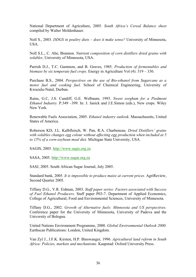National Department of Agriculture, 2005. *South Africa's Cereal Balance sheet* compiled by Walter Moldenhauer.

Noll S., 2003. *DDGS in poultry diets – does it make sense?* University of Minnesota, USA.

Noll S.L., C. Abe, Brannon. *Nutrient composition of corn distillers dried grains with solubles*. University of Minnesota, USA.

Parrish D.J., T.C. Gammon, and B. Graves, 1985. *Production of fermentables and biomass by six temperate fuel crops*. Energy in Agriculture Vol (4): 319 – 330.

Purchase B.S., 2004. *Perspectives on the use of Bio-ethanol from Sugarcane as a motor fuel and cooking fuel.* School of Chemical Engineering, University of Kwazulu-Natal, Durban.

Rains, G.C, J.S. Cundiff, G.E. Welbaum, 1993. *Sweet sorghum for a Piedmont Ethanol Industry.* P.349 –399. In: J. Janick and J.E.Simon (eds.), New crops. Wiley New York.

Renewable Fuels Association, 2005. *Ethanol industry outlook*. Massachusetts, United States of America.

Roberson KD, J.L. Kalbfleisch, W. Pan, R.A. Charbeneau. *Dried Distillers' grains with solubles changes egg colour without affecting egg production when included at 5 to 15% of a corn-soybean meal diet.* Michigan State University, USA.

SAGIS, 2005. http://www.sagis.org.za

SASA, 2005. http://www.sugar.org.za

SASJ, 2005. South African Sugar Journal, July 2005.

Standard bank, 2005. *It is impossible to produce maize at current prices.* AgriReview, Second Quarter 2005.

Tiffany D.G., V.R. Eidman, 2003. *Staff paper series: Factors associated with Success of Fuel Ethanol Producers.* Staff paper P03-7. Department of Applied Economics, College of Agricultural, Food and Environmental Sciences, University of Minnesota.

Tiffany D.G., 2002. *Growth of Alternative fuels: Minnesota and US perspectives.* Conference paper for the University of Minnesota, University of Padova and the University of Bologna.

United Nations Environment Programme, 2000. *Global Environmental Outlook 2000*. Earthscan Publications: London, United Kingdom.

Van Zyl J., J.F.K. Kirsten, H.P. Binswanger, 1996. *Agricultural land reform in South Africa: Policies, markets and mechanisms.* Kaapstad: Oxford University Press.